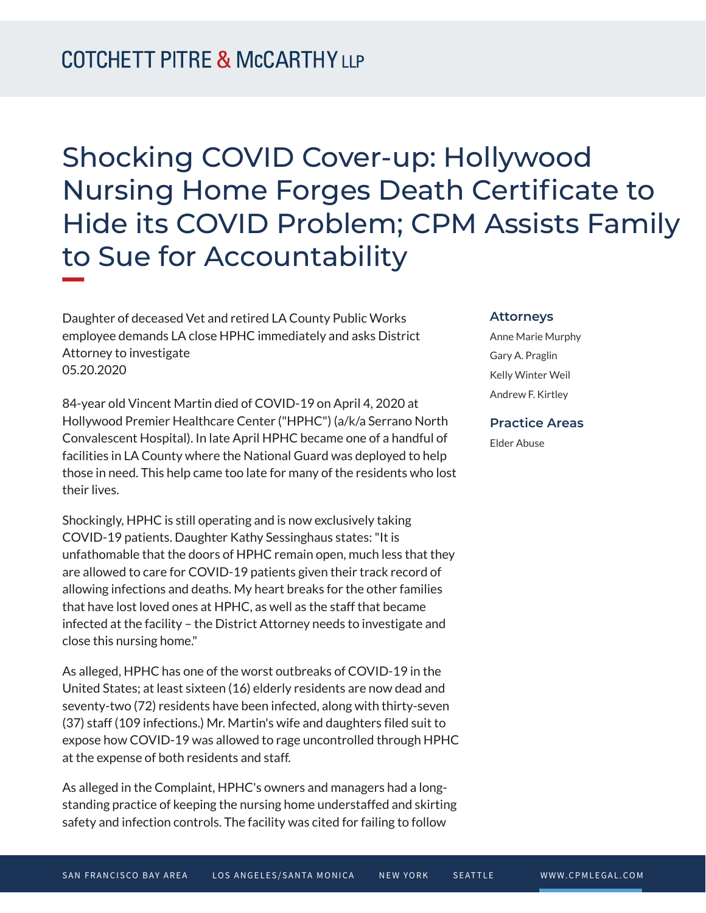# Shocking COVID Cover-up: Hollywood Nursing Home Forges Death Certificate to Hide its COVID Problem; CPM Assists Family to Sue for Accountability **William Company**

Daughter of deceased Vet and retired LA County Public Works employee demands LA close HPHC immediately and asks District Attorney to investigate 05.20.2020

84-year old Vincent Martin died of COVID-19 on April 4, 2020 at Hollywood Premier Healthcare Center ("HPHC") (a/k/a Serrano North Convalescent Hospital). In late April HPHC became one of a handful of facilities in LA County where the National Guard was deployed to help those in need. This help came too late for many of the residents who lost their lives.

Shockingly, HPHC is still operating and is now exclusively taking COVID-19 patients. Daughter Kathy Sessinghaus states: "It is unfathomable that the doors of HPHC remain open, much less that they are allowed to care for COVID-19 patients given their track record of allowing infections and deaths. My heart breaks for the other families that have lost loved ones at HPHC, as well as the staff that became infected at the facility – the District Attorney needs to investigate and close this nursing home."

As alleged, HPHC has one of the worst outbreaks of COVID-19 in the United States; at least sixteen (16) elderly residents are now dead and seventy-two (72) residents have been infected, along with thirty-seven (37) staff (109 infections.) Mr. Martin's wife and daughters filed suit to expose how COVID-19 was allowed to rage uncontrolled through HPHC at the expense of both residents and staff.

As alleged in the Complaint, HPHC's owners and managers had a longstanding practice of keeping the nursing home understaffed and skirting safety and infection controls. The facility was cited for failing to follow

#### **Attorneys**

Anne Marie Murphy Gary A. Praglin Kelly Winter Weil Andrew F. Kirtley

### **Practice Areas**

Elder Abuse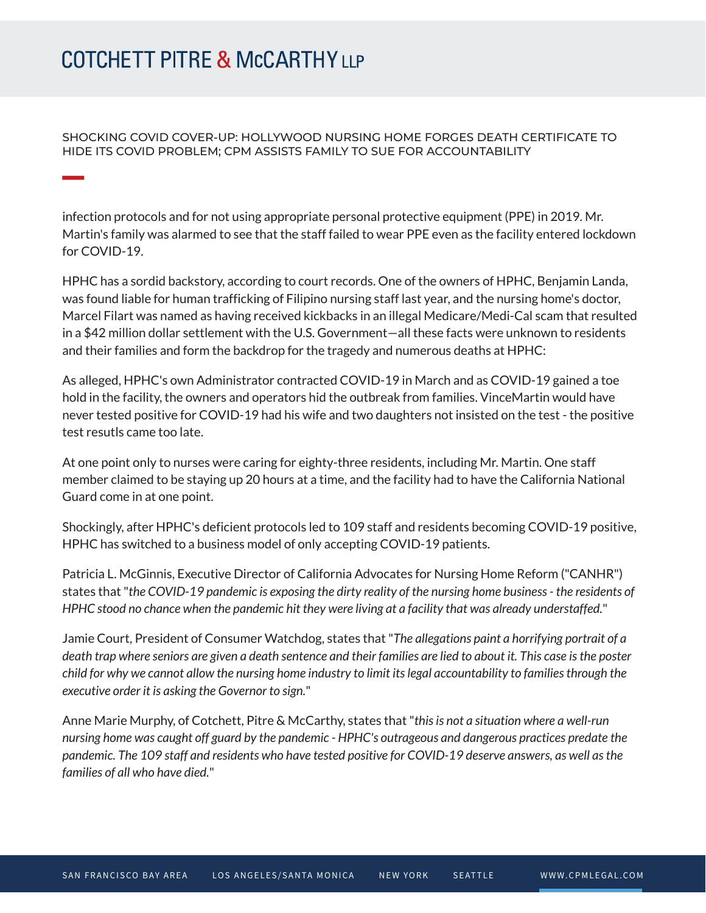## **COTCHETT PITRE & McCARTHY LLP**

SHOCKING COVID COVER-UP: HOLLYWOOD NURSING HOME FORGES DEATH CERTIFICATE TO HIDE ITS COVID PROBLEM; CPM ASSISTS FAMILY TO SUE FOR ACCOUNTABILITY

infection protocols and for not using appropriate personal protective equipment (PPE) in 2019. Mr. Martin's family was alarmed to see that the staff failed to wear PPE even as the facility entered lockdown for COVID-19.

HPHC has a sordid backstory, according to court records. One of the owners of HPHC, Benjamin Landa, was found liable for human trafficking of Filipino nursing staff last year, and the nursing home's doctor, Marcel Filart was named as having received kickbacks in an illegal Medicare/Medi-Cal scam that resulted in a \$42 million dollar settlement with the U.S. Government—all these facts were unknown to residents and their families and form the backdrop for the tragedy and numerous deaths at HPHC:

As alleged, HPHC's own Administrator contracted COVID-19 in March and as COVID-19 gained a toe hold in the facility, the owners and operators hid the outbreak from families. VinceMartin would have never tested positive for COVID-19 had his wife and two daughters not insisted on the test - the positive test resutls came too late.

At one point only to nurses were caring for eighty-three residents, including Mr. Martin. One staff member claimed to be staying up 20 hours at a time, and the facility had to have the California National Guard come in at one point.

Shockingly, after HPHC's deficient protocols led to 109 staff and residents becoming COVID-19 positive, HPHC has switched to a business model of only accepting COVID-19 patients.

Patricia L. McGinnis, Executive Director of California Advocates for Nursing Home Reform ("CANHR") states that "*the COVID-19 pandemic is exposing the dirty reality of the nursing home business - the residents of HPHC stood no chance when the pandemic hit they were living at a facility that was already understaffed.*"

Jamie Court, President of Consumer Watchdog, states that "*The allegations paint a horrifying portrait of a death trap where seniors are given a death sentence and their families are lied to about it. This case is the poster child for why we cannot allow the nursing home industry to limit its legal accountability to families through the executive order it is asking the Governor to sign.*"

Anne Marie Murphy, of Cotchett, Pitre & McCarthy, states that "*this is not a situation where a well-run nursing home was caught off guard by the pandemic - HPHC's outrageous and dangerous practices predate the pandemic. The 109 staff and residents who have tested positive for COVID-19 deserve answers, as well as the families of all who have died.*"